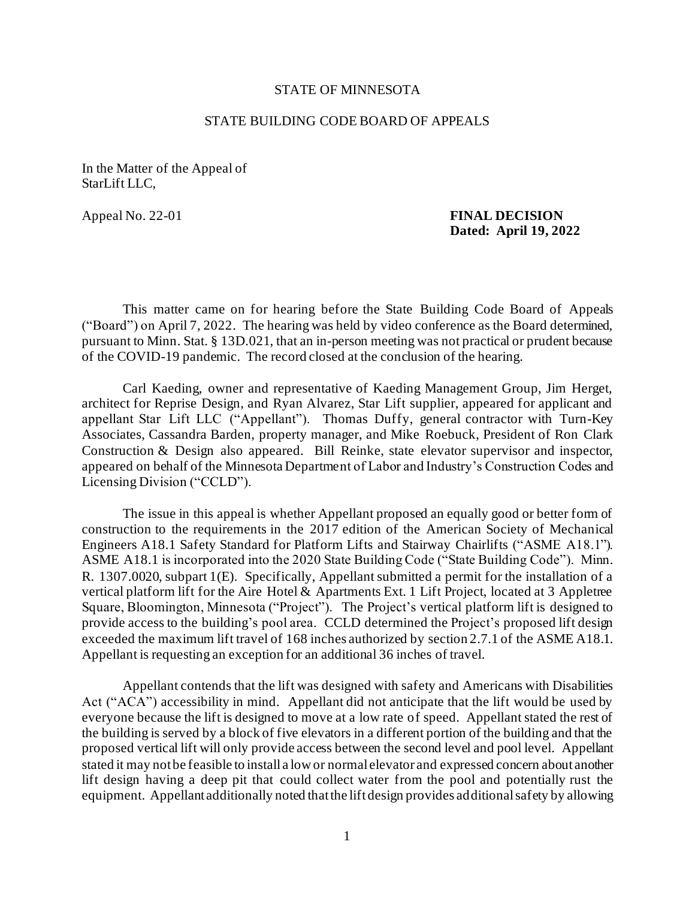## STATE OF MINNESOTA

## STATE BUILDING CODE BOARD OF APPEALS

In the Matter of the Appeal of StarLift LLC,

## Appeal No. 22-01 **FINAL DECISION Dated: April 19, 2022**

This matter came on for hearing before the State Building Code Board of Appeals ("Board") on April 7, 2022. The hearing was held by video conference as the Board determined, pursuant to Minn. Stat. § 13D.021, that an in-person meeting was not practical or prudent because of the COVID-19 pandemic. The record closed at the conclusion of the hearing.

Carl Kaeding, owner and representative of Kaeding Management Group, Jim Herget, architect for Reprise Design, and Ryan Alvarez, Star Lift supplier, appeared for applicant and appellant Star Lift LLC ("Appellant"). Thomas Duffy, general contractor with Turn-Key Associates, Cassandra Barden, property manager, and Mike Roebuck, President of Ron Clark Construction & Design also appeared. Bill Reinke, state elevator supervisor and inspector, appeared on behalf of the Minnesota Department of Labor and Industry's Construction Codes and Licensing Division ("CCLD").

The issue in this appeal is whether Appellant proposed an equally good or better form of construction to the requirements in the 2017 edition of the American Society of Mechanical Engineers A18.1 Safety Standard for Platform Lifts and Stairway Chairlifts ("ASME A18.1"). ASME A18.1 is incorporated into the 2020 State Building Code ("State Building Code"). Minn. R. 1307.0020, subpart 1(E). Specifically, Appellant submitted a permit for the installation of a vertical platform lift for the Aire Hotel & Apartments Ext. 1 Lift Project, located at 3 Appletree Square, Bloomington, Minnesota ("Project"). The Project's vertical platform lift is designed to provide access to the building's pool area. CCLD determined the Project's proposed lift design exceeded the maximum lift travel of 168 inches authorized by section 2.7.1 of the ASME A18.1. Appellant is requesting an exception for an additional 36 inches of travel.

Appellant contends that the lift was designed with safety and Americans with Disabilities Act ("ACA") accessibility in mind. Appellant did not anticipate that the lift would be used by everyone because the lift is designed to move at a low rate of speed. Appellant stated the rest of the building is served by a block of five elevators in a different portion of the building and that the proposed vertical lift will only provide access between the second level and pool level. Appellant stated it may not be feasible to install a low or normal elevator and expressed concern about another lift design having a deep pit that could collect water from the pool and potentially rust the equipment. Appellant additionally noted that the lift design provides additional safety by allowing